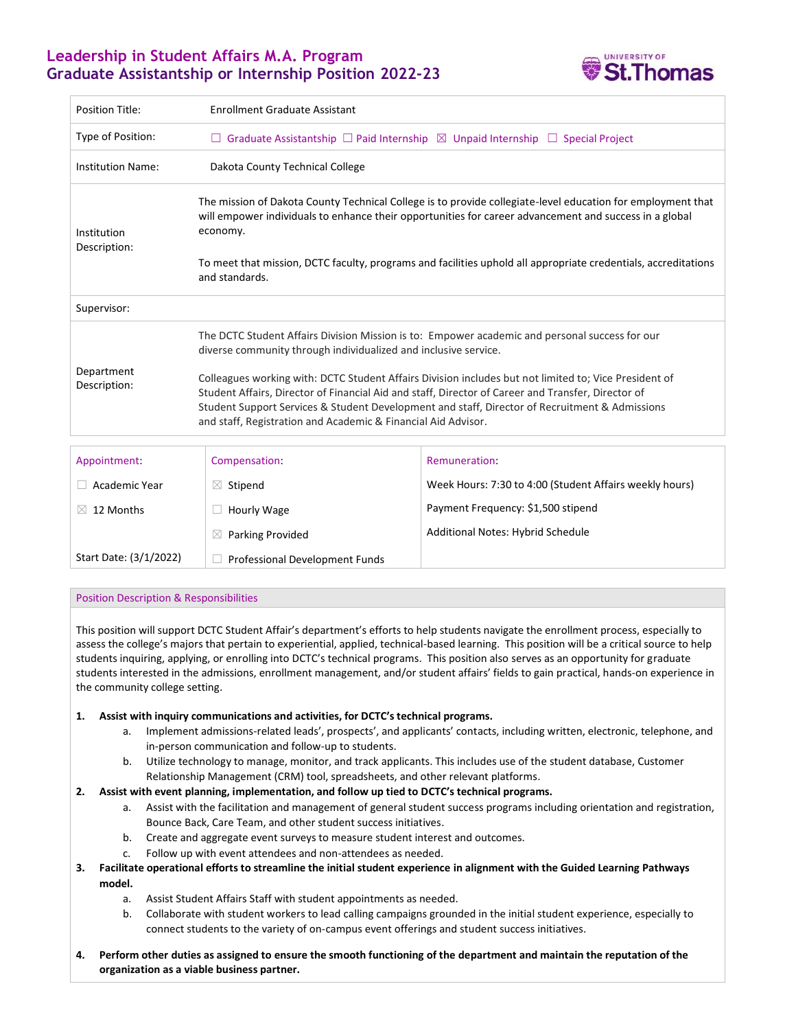# **Leadership in Student Affairs M.A. Program Graduate Assistantship or Internship Position 2022-23**



| <b>Position Title:</b>      | <b>Enrollment Graduate Assistant</b>                                                                                                                                                                                                                                                                                                                                           |                                                         |
|-----------------------------|--------------------------------------------------------------------------------------------------------------------------------------------------------------------------------------------------------------------------------------------------------------------------------------------------------------------------------------------------------------------------------|---------------------------------------------------------|
| Type of Position:           | $\Box$ Graduate Assistantship $\Box$ Paid Internship $\boxtimes$ Unpaid Internship $\Box$ Special Project                                                                                                                                                                                                                                                                      |                                                         |
| <b>Institution Name:</b>    | Dakota County Technical College                                                                                                                                                                                                                                                                                                                                                |                                                         |
| Institution<br>Description: | The mission of Dakota County Technical College is to provide collegiate-level education for employment that<br>will empower individuals to enhance their opportunities for career advancement and success in a global<br>economy.                                                                                                                                              |                                                         |
|                             | To meet that mission, DCTC faculty, programs and facilities uphold all appropriate credentials, accreditations<br>and standards.                                                                                                                                                                                                                                               |                                                         |
| Supervisor:                 |                                                                                                                                                                                                                                                                                                                                                                                |                                                         |
| Department<br>Description:  | The DCTC Student Affairs Division Mission is to: Empower academic and personal success for our<br>diverse community through individualized and inclusive service.                                                                                                                                                                                                              |                                                         |
|                             | Colleagues working with: DCTC Student Affairs Division includes but not limited to; Vice President of<br>Student Affairs, Director of Financial Aid and staff, Director of Career and Transfer, Director of<br>Student Support Services & Student Development and staff, Director of Recruitment & Admissions<br>and staff, Registration and Academic & Financial Aid Advisor. |                                                         |
| Appointment:                | Compensation:                                                                                                                                                                                                                                                                                                                                                                  | Remuneration:                                           |
| Academic Year               | $\boxtimes$ Stipend                                                                                                                                                                                                                                                                                                                                                            | Week Hours: 7:30 to 4:00 (Student Affairs weekly hours) |
| 12 Months<br>X.             | Hourly Wage                                                                                                                                                                                                                                                                                                                                                                    | Payment Frequency: \$1,500 stipend                      |

Additional Notes: Hybrid Schedule

# Position Description & Responsibilities

Start Date: (3/1/2022)

This position will support DCTC Student Affair's department's efforts to help students navigate the enrollment process, especially to assess the college's majors that pertain to experiential, applied, technical-based learning. This position will be a critical source to help students inquiring, applying, or enrolling into DCTC's technical programs. This position also serves as an opportunity for graduate students interested in the admissions, enrollment management, and/or student affairs' fields to gain practical, hands-on experience in the community college setting.

## **1. Assist with inquiry communications and activities, for DCTC's technical programs.**

 $\boxtimes$  Parking Provided

☐ Professional Development Funds

- a. Implement admissions-related leads', prospects', and applicants' contacts, including written, electronic, telephone, and in-person communication and follow-up to students.
- b. Utilize technology to manage, monitor, and track applicants. This includes use of the student database, Customer Relationship Management (CRM) tool, spreadsheets, and other relevant platforms.

## **2. Assist with event planning, implementation, and follow up tied to DCTC's technical programs.**

- a. Assist with the facilitation and management of general student success programs including orientation and registration, Bounce Back, Care Team, and other student success initiatives.
- b. Create and aggregate event surveys to measure student interest and outcomes.
- c. Follow up with event attendees and non-attendees as needed.

# **3. Facilitate operational efforts to streamline the initial student experience in alignment with the Guided Learning Pathways model.**

- a. Assist Student Affairs Staff with student appointments as needed.
- b. Collaborate with student workers to lead calling campaigns grounded in the initial student experience, especially to connect students to the variety of on-campus event offerings and student success initiatives.
- **4. Perform other duties as assigned to ensure the smooth functioning of the department and maintain the reputation of the organization as a viable business partner.**